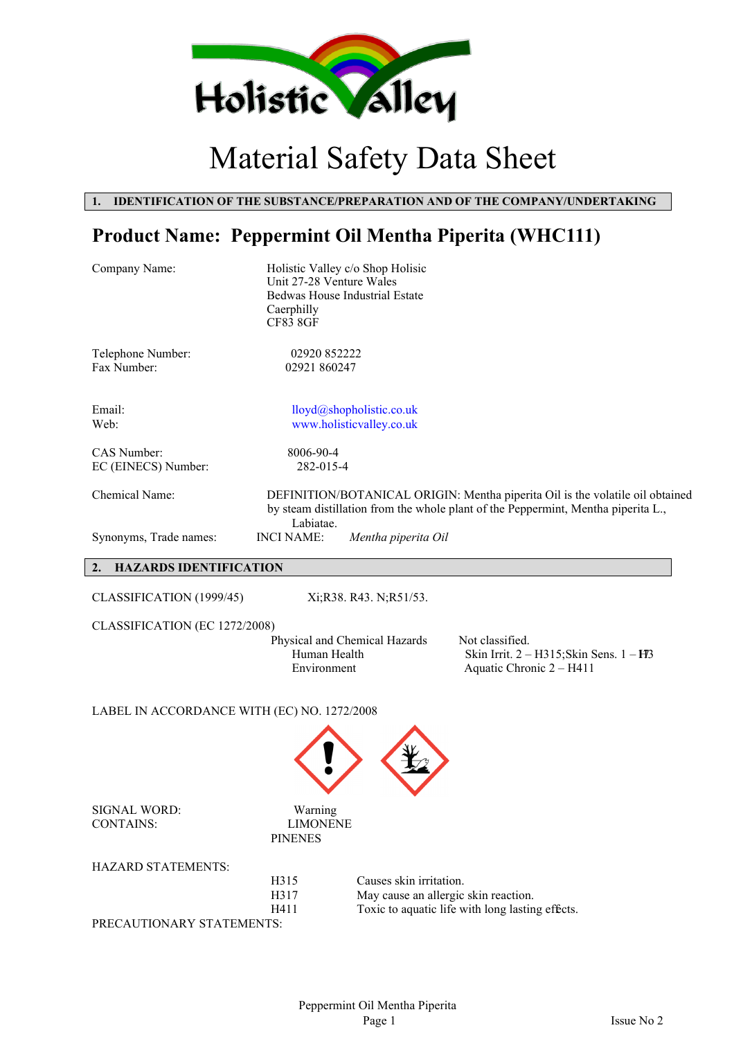

# Material Safety Data Sheet

### **1. IDENTIFICATION OF THE SUBSTANCE/PREPARATION AND OF THE COMPANY/UNDERTAKING**

## **Product Name: Peppermint Oil Mentha Piperita (WHC111)**

| Company Name:                               | Holistic Valley c/o Shop Holisic<br>Unit 27-28 Venture Wales<br><b>Bedwas House Industrial Estate</b><br>Caerphilly<br><b>CF83 8GF</b> |                                                      |                                                                                                                                                                    |
|---------------------------------------------|----------------------------------------------------------------------------------------------------------------------------------------|------------------------------------------------------|--------------------------------------------------------------------------------------------------------------------------------------------------------------------|
| Telephone Number:<br>Fax Number:            | 02920 852222<br>02921 860247                                                                                                           |                                                      |                                                                                                                                                                    |
| Email:<br>Web:                              |                                                                                                                                        | lloyd@shopholistic.co.uk<br>www.holisticvalley.co.uk |                                                                                                                                                                    |
| CAS Number:<br>EC (EINECS) Number:          | 8006-90-4<br>282-015-4                                                                                                                 |                                                      |                                                                                                                                                                    |
| Chemical Name:                              | Labiatae.                                                                                                                              |                                                      | DEFINITION/BOTANICAL ORIGIN: Mentha piperita Oil is the volatile oil obtained<br>by steam distillation from the whole plant of the Peppermint, Mentha piperita L., |
| Synonyms, Trade names:                      | <b>INCI NAME:</b>                                                                                                                      | Mentha piperita Oil                                  |                                                                                                                                                                    |
| <b>HAZARDS IDENTIFICATION</b><br>2.         |                                                                                                                                        |                                                      |                                                                                                                                                                    |
| CLASSIFICATION (1999/45)                    |                                                                                                                                        | Xi;R38. R43. N;R51/53.                               |                                                                                                                                                                    |
| CLASSIFICATION (EC 1272/2008)               | Physical and Chemical Hazards<br>Human Health<br>Environment                                                                           |                                                      | Not classified.<br>Skin Irrit. 2 - H315; Skin Sens. 1 - H3<br>Aquatic Chronic 2 - H411                                                                             |
| LABEL IN ACCORDANCE WITH (EC) NO. 1272/2008 |                                                                                                                                        |                                                      |                                                                                                                                                                    |
|                                             |                                                                                                                                        |                                                      |                                                                                                                                                                    |
| SIGNAL WORD:<br><b>CONTAINS:</b>            | Warning<br><b>LIMONENE</b><br><b>PINENES</b>                                                                                           |                                                      |                                                                                                                                                                    |
| HAZARD STATEMENTS:                          |                                                                                                                                        |                                                      |                                                                                                                                                                    |
|                                             | H315                                                                                                                                   | Causes skin irritation.                              |                                                                                                                                                                    |
|                                             | H317<br>H411                                                                                                                           | May cause an allergic skin reaction.                 | Toxic to aquatic life with long lasting effects.                                                                                                                   |
| PRECAUTIONARY STATEMENTS:                   |                                                                                                                                        |                                                      |                                                                                                                                                                    |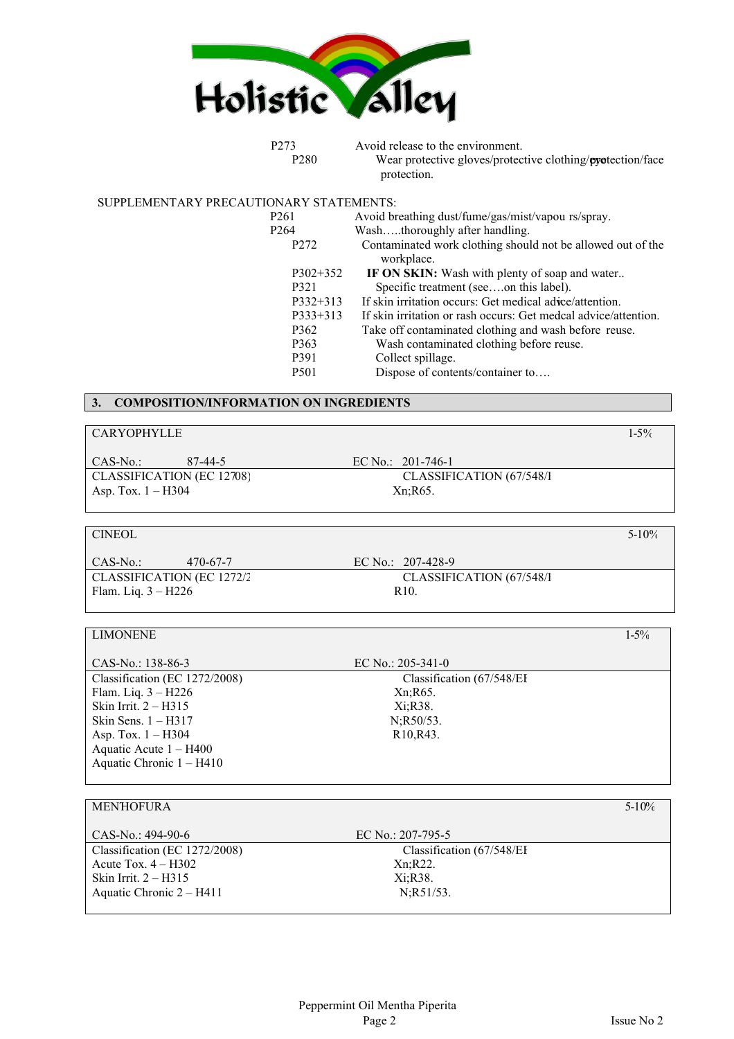

P273 Avoid release to the environment. P280 Wear protective gloves/protective clothing/**pyet**ection/face protection.

SUPPLEMENTARY PRECAUTIONARY STATEMENTS:

| P261             | Avoid breathing dust/fume/gas/mist/vapou rs/spray.              |
|------------------|-----------------------------------------------------------------|
| P <sub>264</sub> | Washthoroughly after handling.                                  |
| P <sub>272</sub> | Contaminated work clothing should not be allowed out of the     |
|                  | workplace.                                                      |
| $P302+352$       | IF ON SKIN: Wash with plenty of soap and water                  |
| P321             | Specific treatment (seeon this label).                          |
| $P332+313$       | If skin irritation occurs: Get medical advee/attention.         |
| $P333+313$       | If skin irritation or rash occurs: Get medcal advice/attention. |
| P <sub>362</sub> | Take off contaminated clothing and wash before reuse.           |
| P <sub>363</sub> | Wash contaminated clothing before reuse.                        |
| P391             | Collect spillage.                                               |
| P <sub>501</sub> | Dispose of contents/container to                                |
|                  |                                                                 |

### **3. COMPOSITION/INFORMATION ON INGREDIENTS**

| <b>CARYOPHYLLE</b> | 5% |
|--------------------|----|
|                    |    |

CAS-No.: 87-44-5 EC No.: 201-746-1 CLASSIFICATION (EC 12708) CLASSIFICATION (67/548/I Asp. Tox. 1 – H304 Xn;R65.

| <b>CINEOL</b>             |          |                           | $5-10%$ |
|---------------------------|----------|---------------------------|---------|
| CAS-No.:                  | 470-67-7 | EC No.: $207-428-9$       |         |
| CLASSIFICATION (EC 1272/2 |          | CLASSIFICATION (67/548/I) |         |
| Flam. Liq. $3 - H226$     |          | R <sub>10</sub>           |         |
|                           |          |                           |         |

| <b>LIMONENE</b>               |                                     | $1 - 5\%$ |
|-------------------------------|-------------------------------------|-----------|
|                               |                                     |           |
| CAS-No.: 138-86-3             | EC No.: $205-341-0$                 |           |
| Classification (EC 1272/2008) | Classification (67/548/EI           |           |
| Flam. Liq. $3 - H226$         | Xn; R65.                            |           |
| Skin Irrit. $2 - H315$        | Xi;R38.                             |           |
| Skin Sens. $1 - H317$         | $N:R50/53$ .                        |           |
| Asp. Tox. $1 - H304$          | R <sub>10</sub> , R <sub>43</sub> . |           |
| Aquatic Acute $1 - H400$      |                                     |           |
| Aquatic Chronic 1 – H410      |                                     |           |

| <b>MEN'HOFURA</b>             |                            | $5 - 10\%$ |
|-------------------------------|----------------------------|------------|
|                               |                            |            |
|                               |                            |            |
| $CAS-N0: 494-90-6$            | EC No.: $207-795-5$        |            |
|                               |                            |            |
| Classification (EC 1272/2008) | Classification (67/548/EI) |            |
| Acute Tox. $4 - H302$         | Xn; R22.                   |            |
|                               |                            |            |
| Skin Irrit. $2 - H315$        | Xi:R38.                    |            |
|                               |                            |            |
| Aquatic Chronic 2 – H411      | N;R51/53.                  |            |
|                               |                            |            |
|                               |                            |            |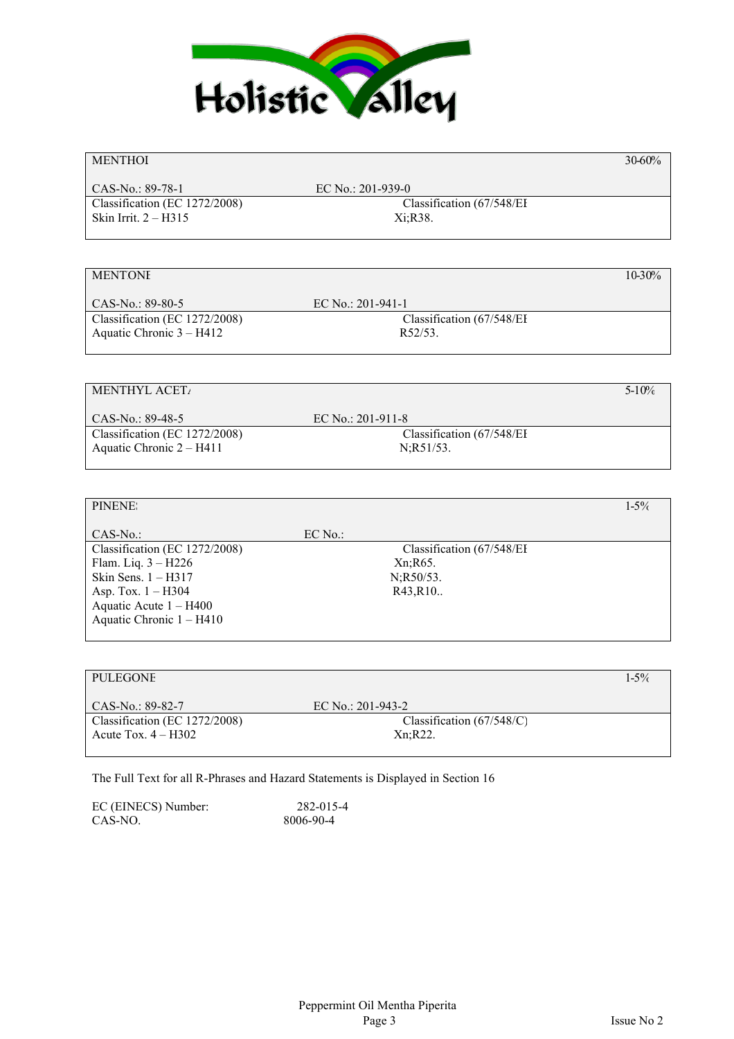

### $MENTHOI$  and  $30-60\%$  and  $30-60\%$

CAS-No.: 89-78-1 EC No.: 201-939-0 Classification (EC 1272/2008) Classification (67/548/EI Skin Irrit. 2 – H315 Xi;R38.

### MENTONE  $10-30\%$

CAS-No.: 89-80-5 EC No.: 201-941-1 Classification (EC 1272/2008) Classification (67/548/EI Aquatic Chronic  $3 - H412$  R52/53.

### MENTHYL ACET<sub>A</sub> $5-10\%$

CAS-No.: 89-48-5 EC No.: 201-911-8 Classification (EC 1272/2008) Classification (67/548/EI Aquatic Chronic  $2 - H411$  N;R51/53.

### PINENES  $1-5\%$ CAS-No.: EC No.: Classification (EC 1272/2008) Classification (67/548/EI Flam. Liq.  $3 - H226$  Xn;R65. Skin Sens. 1 – H317 N;R50/53. Asp. Tox. 1 – H304 R43,R10.. Aquatic Acute 1 – H400 Aquatic Chronic 1 – H410

| PULEGONE                      |                             | 1.5% |
|-------------------------------|-----------------------------|------|
|                               |                             |      |
| $CAS-No.$ : 89-82-7           | EC No.: $201-943-2$         |      |
| Classification (EC 1272/2008) | Classification $(67/548/C)$ |      |
| Acute Tox. $4 - H302$         | Xn:R22.                     |      |
|                               |                             |      |

The Full Text for all R-Phrases and Hazard Statements is Displayed in Section 16

| EC (EINECS) Number: | 282-015-4 |
|---------------------|-----------|
| CAS-NO.             | 8006-90-4 |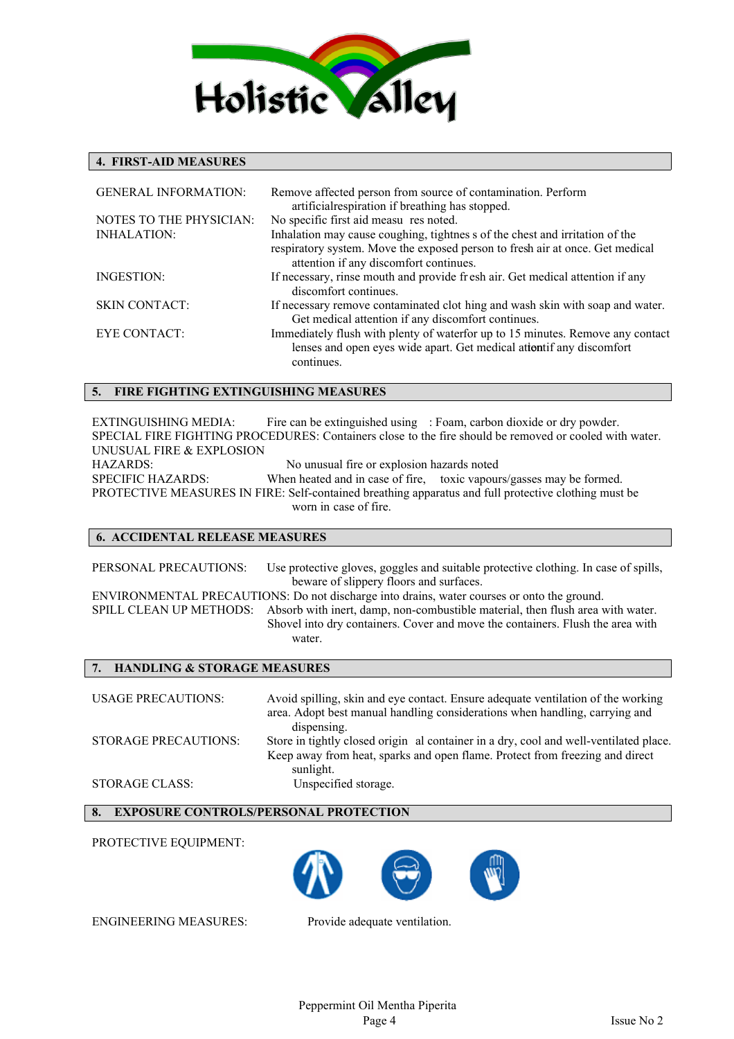

### **4. FIRST-AID MEASURES**

| <b>GENERAL INFORMATION:</b>    | Remove affected person from source of contamination. Perform<br>artificial respiration if breathing has stopped.                                                     |
|--------------------------------|----------------------------------------------------------------------------------------------------------------------------------------------------------------------|
| <b>NOTES TO THE PHYSICIAN:</b> | No specific first aid measu res noted.                                                                                                                               |
| <b>INHALATION:</b>             | Inhalation may cause coughing, tightnes s of the chest and irritation of the                                                                                         |
|                                | respiratory system. Move the exposed person to fresh air at once. Get medical<br>attention if any discomfort continues.                                              |
| INGESTION:                     | If necessary, rinse mouth and provide fresh air. Get medical attention if any<br>discomfort continues.                                                               |
| <b>SKIN CONTACT:</b>           | If necessary remove contaminated clot hing and wash skin with soap and water.<br>Get medical attention if any discomfort continues.                                  |
| EYE CONTACT:                   | Immediately flush with plenty of waterfor up to 15 minutes. Remove any contact<br>lenses and open eyes wide apart. Get medical attentif any discomfort<br>continues. |

### **5. FIRE FIGHTING EXTINGUISHING MEASURES**

EXTINGUISHING MEDIA: Fire can be extinguished using : Foam, carbon dioxide or dry powder. SPECIAL FIRE FIGHTING PROCEDURES: Containers close to the fire should be removed or cooled with water. UNUSUAL FIRE & EXPLOSION HAZARDS: No unusual fire or explosion hazards noted SPECIFIC HAZARDS: When heated and in case of fire, toxic vapours/gasses may be formed. PROTECTIVE MEASURES IN FIRE: Self-contained breathing apparatus and full protective clothing must be worn in case of fire.

### **6. ACCIDENTAL RELEASE MEASURES**

PERSONAL PRECAUTIONS: Use protective gloves, goggles and suitable protective clothing. In case of spills, beware of slippery floors and surfaces. ENVIRONMENTAL PRECAUTIONS: Do not discharge into drains, water courses or onto the ground. SPILL CLEAN UP METHODS: Absorb with inert, damp, non-combustible material, then flush area with water. Shovel into dry containers. Cover and move the containers. Flush the area with

water.

### **7. HANDLING & STORAGE MEASURES**

USAGE PRECAUTIONS: Avoid spilling, skin and eye contact. Ensure adequate ventilation of the working area. Adopt best manual handling considerations when handling, carrying and dispensing. STORAGE PRECAUTIONS: Store in tightly closed origin al container in a dry, cool and well-ventilated place. Keep away from heat, sparks and open flame. Protect from freezing and direct sunlight. STORAGE CLASS: Unspecified storage.

**8. EXPOSURE CONTROLS/PERSONAL PROTECTION**

PROTECTIVE EQUIPMENT:



ENGINEERING MEASURES: Provide adequate ventilation.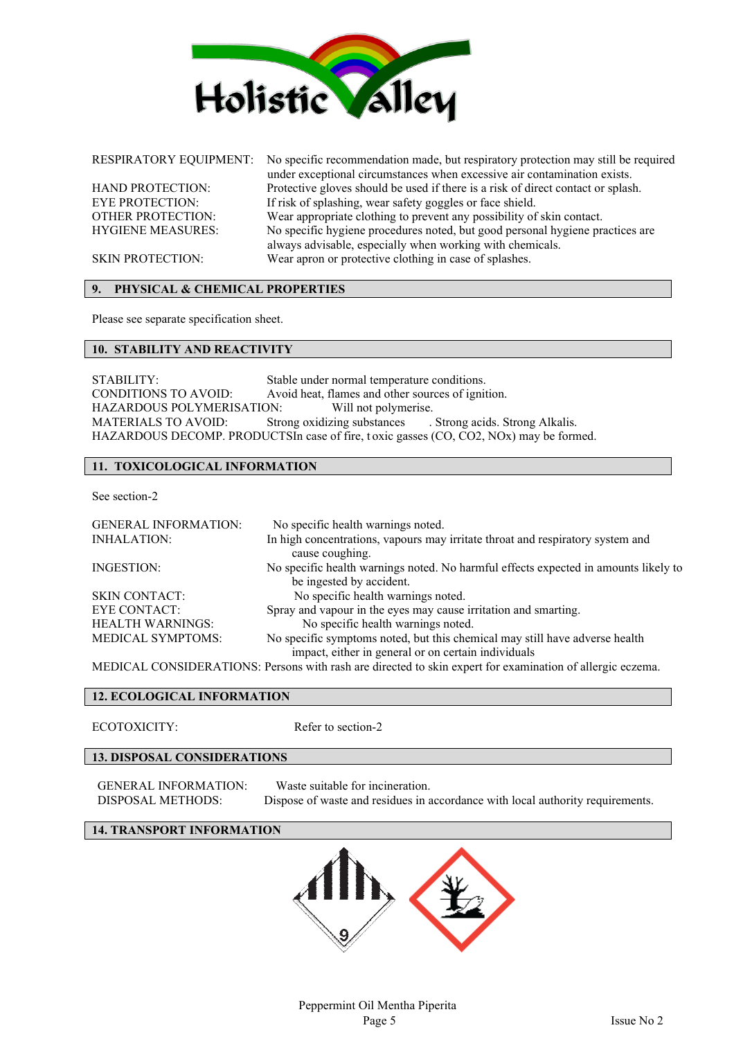

RESPIRATORY EQUIPMENT: No specific recommendation made, but respiratory protection may still be required under exceptional circumstances when excessive air contamination exists. HAND PROTECTION: Protective gloves should be used if there is a risk of direct contact or splash. EYE PROTECTION: If risk of splashing, wear safety goggles or face shield.<br>OTHER PROTECTION: Wear appropriate clothing to prevent any possibility of Wear appropriate clothing to prevent any possibility of skin contact. HYGIENE MEASURES: No specific hygiene procedures noted, but good personal hygiene practices are always advisable, especially when working with chemicals. SKIN PROTECTION: Wear apron or protective clothing in case of splashes.

## **9. PHYSICAL & CHEMICAL PROPERTIES**

Please see separate specification sheet.

### **10. STABILITY AND REACTIVITY**

STABILITY: Stable under normal temperature conditions. CONDITIONS TO AVOID: Avoid heat, flames and other sources of ignition. HAZARDOUS POLYMERISATION: Will not polymerise. MATERIALS TO AVOID: Strong oxidizing substances . Strong acids. Strong Alkalis. HAZARDOUS DECOMP. PRODUCTSIn case of fire, toxic gasses (CO, CO2, NOx) may be formed.

### **11. TOXICOLOGICAL INFORMATION**

See section-2

| <b>GENERAL INFORMATION:</b> | No specific health warnings noted.                                                                              |
|-----------------------------|-----------------------------------------------------------------------------------------------------------------|
| <b>INHALATION:</b>          | In high concentrations, vapours may irritate throat and respiratory system and<br>cause coughing.               |
| INGESTION:                  | No specific health warnings noted. No harmful effects expected in amounts likely to<br>be ingested by accident. |
| <b>SKIN CONTACT:</b>        | No specific health warnings noted.                                                                              |
| <b>EYE CONTACT:</b>         | Spray and vapour in the eyes may cause irritation and smarting.                                                 |
| <b>HEALTH WARNINGS:</b>     | No specific health warnings noted.                                                                              |
| <b>MEDICAL SYMPTOMS:</b>    | No specific symptoms noted, but this chemical may still have adverse health                                     |
|                             | impact, either in general or on certain individuals                                                             |
|                             | MEDICAL CONSIDERATIONS: Persons with rash are directed to skin expert for examination of allergic eczema.       |

### **12. ECOLOGICAL INFORMATION**

ECOTOXICITY: Refer to section-2

### **13. DISPOSAL CONSIDERATIONS**

GENERAL INFORMATION: Waste suitable for incineration.

DISPOSAL METHODS: Dispose of waste and residues in accordance with local authority requirements.

### **14. TRANSPORT INFORMATION**

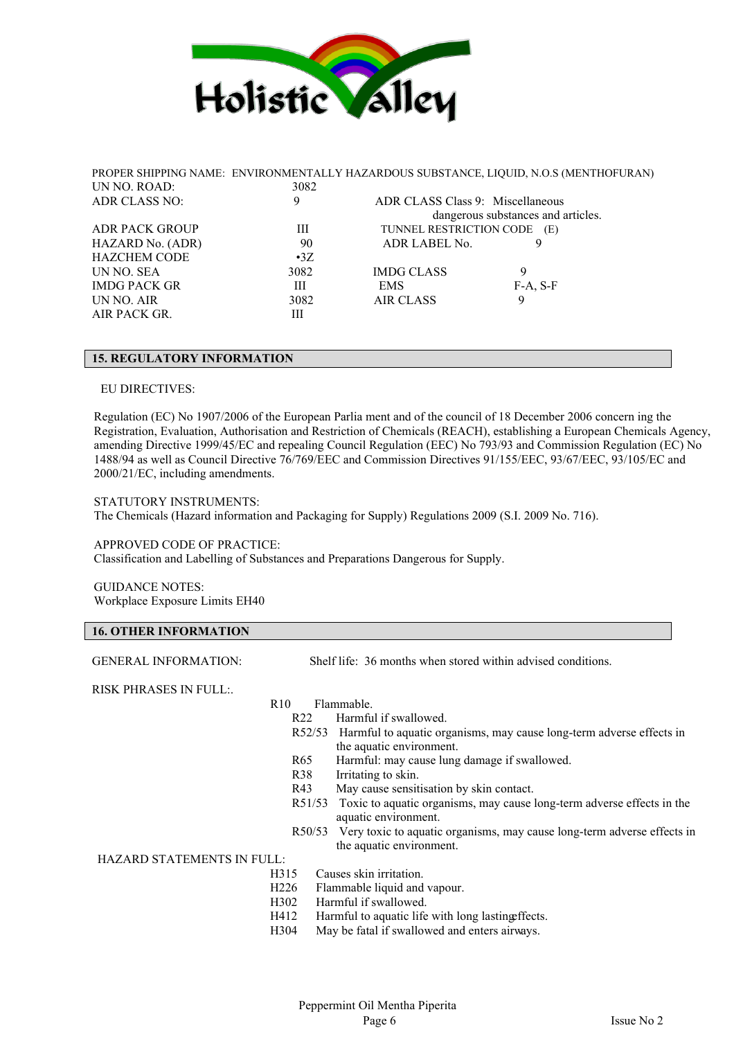

|                       |             |                                  | PROPER SHIPPING NAME: ENVIRONMENTALLY HAZARDOUS SUBSTANCE, LIQUID, N.O.S (MENTHOFURAN) |
|-----------------------|-------------|----------------------------------|----------------------------------------------------------------------------------------|
| UN NO. ROAD:          | 3082        |                                  |                                                                                        |
| ADR CLASS NO:         | 9           | ADR CLASS Class 9: Miscellaneous |                                                                                        |
|                       |             |                                  | dangerous substances and articles.                                                     |
| <b>ADR PACK GROUP</b> | Ш           | TUNNEL RESTRICTION CODE (E)      |                                                                                        |
| HAZARD No. (ADR)      | 90          | ADR LABEL No.                    | 9                                                                                      |
| <b>HAZCHEM CODE</b>   | $\cdot 37.$ |                                  |                                                                                        |
| UN NO. SEA            | 3082        | <b>IMDG CLASS</b>                | 9                                                                                      |
| <b>IMDG PACK GR</b>   | Ш           | <b>EMS</b>                       | $F-A, S-F$                                                                             |
| UN NO. AIR            | 3082        | <b>AIR CLASS</b>                 | 9                                                                                      |
| AIR PACK GR.          | Ш           |                                  |                                                                                        |
|                       |             |                                  |                                                                                        |

### **15. REGULATORY INFORMATION**

### EU DIRECTIVES:

Regulation (EC) No 1907/2006 of the European Parlia ment and of the council of 18 December 2006 concern ing the Registration, Evaluation, Authorisation and Restriction of Chemicals (REACH), establishing a European Chemicals Agency, amending Directive 1999/45/EC and repealing Council Regulation (EEC) No 793/93 and Commission Regulation (EC) No 1488/94 as well as Council Directive 76/769/EEC and Commission Directives 91/155/EEC, 93/67/EEC, 93/105/EC and 2000/21/EC, including amendments.

STATUTORY INSTRUMENTS:

The Chemicals (Hazard information and Packaging for Supply) Regulations 2009 (S.I. 2009 No. 716).

### APPROVED CODE OF PRACTICE:

Classification and Labelling of Substances and Preparations Dangerous for Supply.

GUIDANCE NOTES: Workplace Exposure Limits EH40

### **16. OTHER INFORMATION**

GENERAL INFORMATION: Shelf life: 36 months when stored within advised conditions.

RISK PHRASES IN FULL:.

### R10 Flammable.

- R22 Harmful if swallowed.
- R52/53 Harmful to aquatic organisms, may cause long-term adverse effects in the aquatic environment.
- R65 Harmful: may cause lung damage if swallowed.
- R38 Irritating to skin.
- R43 May cause sensitisation by skin contact.
- R51/53 Toxic to aquatic organisms, may cause long-term adverse effects in the aquatic environment.
- R50/53 Very toxic to aquatic organisms, may cause long-term adverse effects in the aquatic environment.

### HAZARD STATEMENTS IN FULL:

- H315 Causes skin irritation.
- H226 Flammable liquid and vapour.
- H302 Harmful if swallowed.
- H412 Harmful to aquatic life with long lastingeffects.
- H304 May be fatal if swallowed and enters airways.